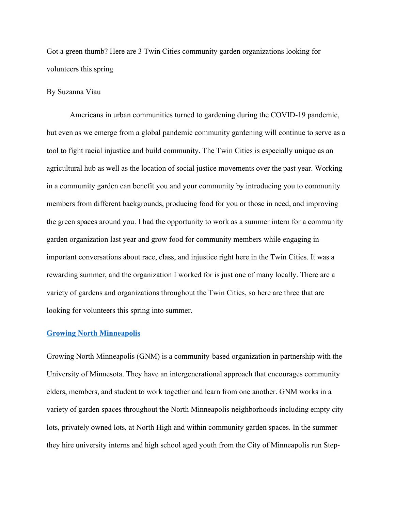Got a green thumb? Here are 3 Twin Cities community garden organizations looking for volunteers this spring

## By Suzanna Viau

Americans in urban communities turned to gardening during the COVID-19 pandemic, but even as we emerge from a global pandemic community gardening will continue to serve as a tool to fight racial injustice and build community. The Twin Cities is especially unique as an agricultural hub as well as the location of social justice movements over the past year. Working in a community garden can benefit you and your community by introducing you to community members from different backgrounds, producing food for you or those in need, and improving the green spaces around you. I had the opportunity to work as a summer intern for a community garden organization last year and grow food for community members while engaging in important conversations about race, class, and injustice right here in the Twin Cities. It was a rewarding summer, and the organization I worked for is just one of many locally. There are a variety of gardens and organizations throughout the Twin Cities, so here are three that are looking for volunteers this spring into summer.

## **Growing North Minneapolis**

Growing North Minneapolis (GNM) is a community-based organization in partnership with the University of Minnesota. They have an intergenerational approach that encourages community elders, members, and student to work together and learn from one another. GNM works in a variety of garden spaces throughout the North Minneapolis neighborhoods including empty city lots, privately owned lots, at North High and within community garden spaces. In the summer they hire university interns and high school aged youth from the City of Minneapolis run Step-